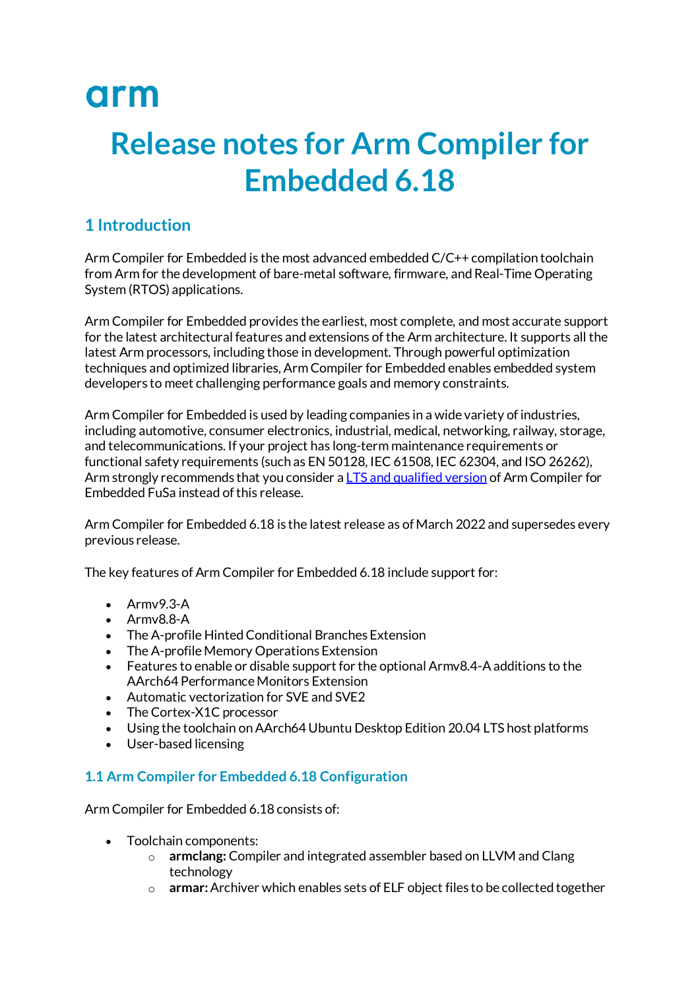# arm

# **Release notes for Arm Compiler for Embedded 6.18**

# **1 Introduction**

Arm Compiler for Embedded is the most advanced embedded C/C++ compilation toolchain from Arm for the development of bare-metal software, firmware, and Real-Time Operating System (RTOS) applications.

Arm Compiler for Embedded provides the earliest, most complete, and most accurate support for the latest architectural features and extensions of the Arm architecture. It supports all the latest Arm processors, including those in development. Through powerful optimization techniques and optimized libraries, Arm Compiler for Embedded enables embedded system developers to meet challenging performance goals and memory constraints.

Arm Compiler for Embedded is used by leading companies in a wide variety of industries, including automotive, consumer electronics, industrial, medical, networking, railway, storage, and telecommunications. If your project has long-term maintenance requirements or functional safety requirements (such as EN 50128, IEC 61508, IEC 62304, and ISO 26262), Arm strongly recommends that you consider a [LTS and qualified version](https://developer.arm.com/tools-and-software/embedded/arm-compiler/safety) of Arm Compiler for Embedded FuSa instead of this release.

Arm Compiler for Embedded 6.18 is the latest release as of March 2022 and supersedes every previous release.

The key features of Arm Compiler for Embedded 6.18 include support for:

- Armv9.3-A
- Armv8.8-A
- The A-profile Hinted Conditional Branches Extension
- The A-profile Memory Operations Extension
- Features to enable or disable support for the optional Armv8.4-A additions to the AArch64 Performance Monitors Extension
- Automatic vectorization for SVE and SVE2
- The Cortex-X1C processor
- Using the toolchain on AArch64 Ubuntu Desktop Edition 20.04 LTS host platforms
- User-based licensing

# **1.1 Arm Compiler for Embedded 6.18 Configuration**

Arm Compiler for Embedded 6.18 consists of:

- Toolchain components:
	- o **armclang:** Compiler and integrated assembler based on LLVM and Clang technology
	- o **armar:**Archiver which enables sets of ELF object files to be collected together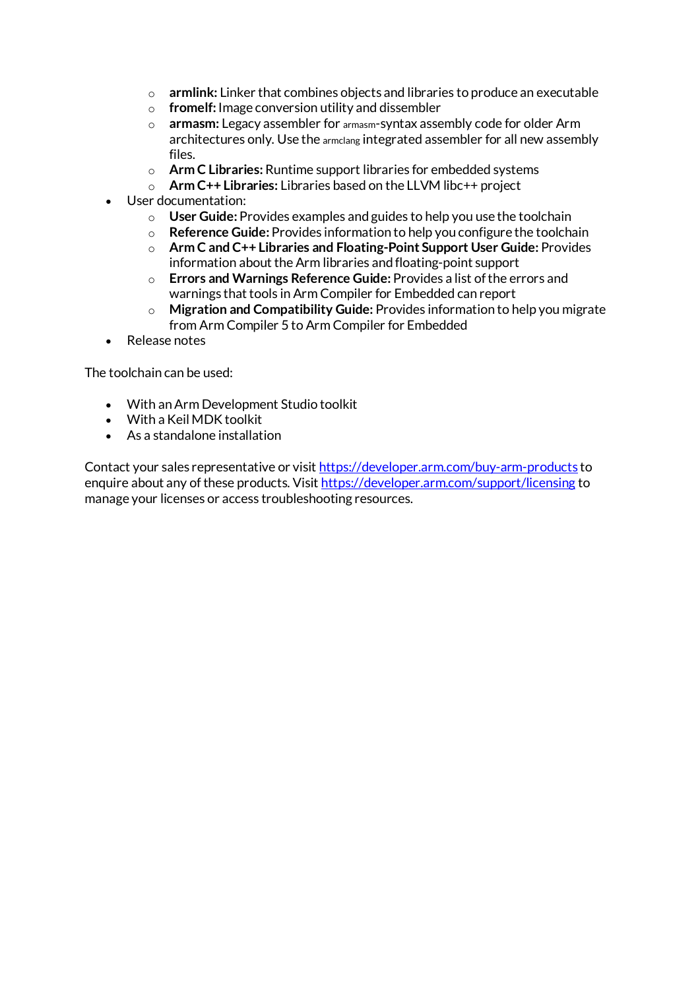- o **armlink:** Linker that combines objects and libraries to produce an executable
- o **fromelf:** Image conversion utility and dissembler
- o **armasm:** Legacy assembler for armasm-syntax assembly code for older Arm architectures only. Use the armclang integrated assembler for all new assembly files.
- o **Arm C Libraries:**Runtime support libraries for embedded systems
- o **Arm C++ Libraries:** Libraries based on the LLVM libc++ project
- User documentation:
	- o **User Guide:** Provides examples and guides to help you use the toolchain
	- o **Reference Guide:** Provides information to help you configure the toolchain
	- o **Arm C and C++ Libraries and Floating-Point Support User Guide:** Provides information about the Arm libraries and floating-point support
	- o **Errors and Warnings Reference Guide:** Provides a list of the errors and warnings that tools in Arm Compiler for Embedded can report
	- o **Migration and Compatibility Guide:** Provides information to help you migrate from Arm Compiler 5 to Arm Compiler for Embedded
- Release notes

The toolchain can be used:

- With an Arm Development Studio toolkit
- With a Keil MDK toolkit
- As a standalone installation

Contact your sales representative or visit <https://developer.arm.com/buy-arm-products> to enquire about any of these products. Visit <https://developer.arm.com/support/licensing> to manage your licenses or access troubleshooting resources.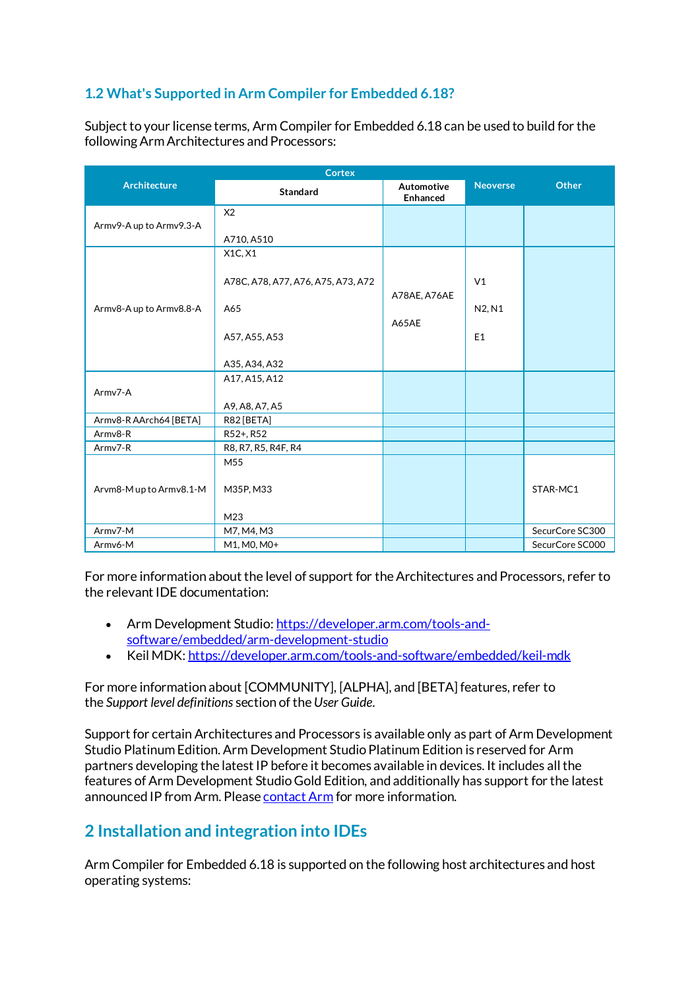# **1.2 What's Supported in Arm Compiler for Embedded 6.18?**

Subject to your license terms, Arm Compiler for Embedded 6.18 can be used to build for the following Arm Architectures and Processors:

| <b>Cortex</b>           |                                    |                        |                 |                 |
|-------------------------|------------------------------------|------------------------|-----------------|-----------------|
| <b>Architecture</b>     | <b>Standard</b>                    | Automotive<br>Enhanced | <b>Neoverse</b> | Other           |
|                         | X <sub>2</sub>                     |                        |                 |                 |
| Armv9-A up to Armv9.3-A |                                    |                        |                 |                 |
|                         | A710, A510                         |                        |                 |                 |
|                         | X1C, X1                            |                        |                 |                 |
|                         |                                    |                        |                 |                 |
|                         | A78C, A78, A77, A76, A75, A73, A72 |                        | V <sub>1</sub>  |                 |
|                         |                                    | A78AE, A76AE           |                 |                 |
| Armv8-A up to Armv8.8-A | A65                                |                        | N2, N1          |                 |
|                         |                                    | A65AE                  |                 |                 |
|                         | A57, A55, A53                      |                        | E1              |                 |
|                         |                                    |                        |                 |                 |
|                         | A35, A34, A32                      |                        |                 |                 |
|                         | A17, A15, A12                      |                        |                 |                 |
| Army7-A                 |                                    |                        |                 |                 |
|                         | A9, A8, A7, A5                     |                        |                 |                 |
| Armv8-R AArch64 [BETA]  | R82 [BETA]                         |                        |                 |                 |
| Armv8-R                 | R52+, R52                          |                        |                 |                 |
| Armv7-R                 | R8, R7, R5, R4F, R4                |                        |                 |                 |
|                         | M55                                |                        |                 |                 |
|                         |                                    |                        |                 |                 |
| Arvm8-Mup to Armv8.1-M  | M35P, M33                          |                        |                 | STAR-MC1        |
|                         |                                    |                        |                 |                 |
|                         | M23                                |                        |                 |                 |
| Armv7-M                 | M7, M4, M3                         |                        |                 | SecurCore SC300 |
| Armv6-M                 | M1, M0, M0+                        |                        |                 | SecurCore SC000 |

For more information about the level of support for the Architectures and Processors, refer to the relevant IDE documentation:

- Arm Development Studio: [https://developer.arm.com/tools-and](https://developer.arm.com/tools-and-software/embedded/arm-development-studio)[software/embedded/arm-development-studio](https://developer.arm.com/tools-and-software/embedded/arm-development-studio)
- Keil MDK: <https://developer.arm.com/tools-and-software/embedded/keil-mdk>

For more information about [COMMUNITY], [ALPHA], and [BETA] features, refer to the *Support level definitions* section of the*User Guide*.

Support for certain Architectures and Processors is available only as part of Arm Development Studio Platinum Edition. Arm Development Studio Platinum Edition is reserved for Arm partners developing the latest IP before it becomes available in devices. It includes all the features of Arm Development Studio Gold Edition, and additionally has support for the latest announced IP from Arm. Please [contact Arm](https://developer.arm.com/buy-arm-products) for more information.

# **2 Installation and integration into IDEs**

Arm Compiler for Embedded 6.18 is supported on the following host architectures and host operating systems: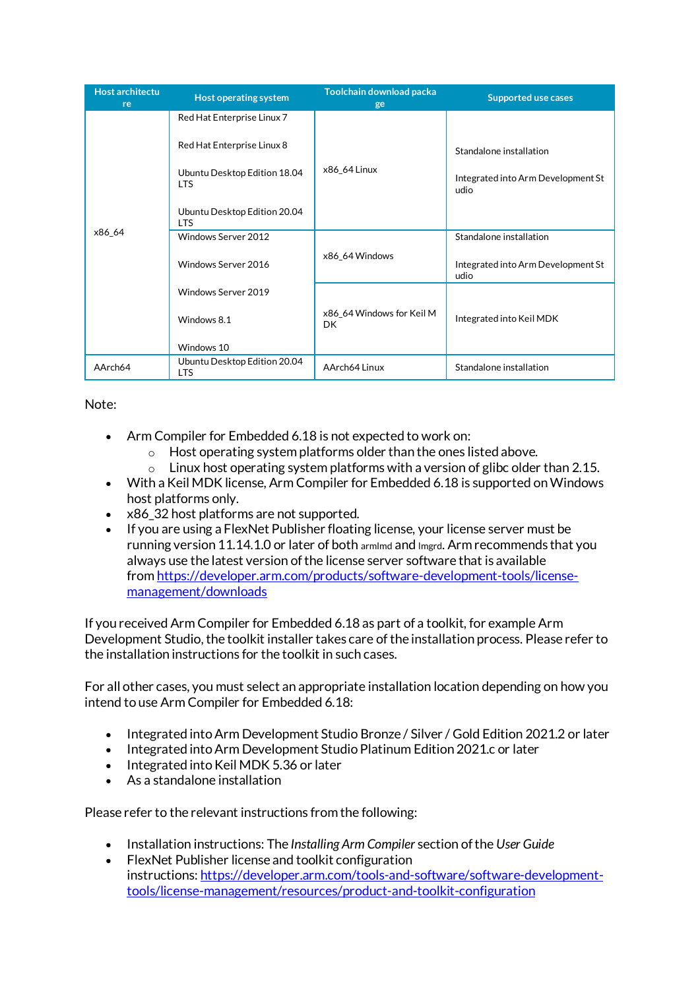| <b>Host architectu</b><br>re | Host operating system                      | Toolchain download packa<br>ge         | <b>Supported use cases</b>                 |
|------------------------------|--------------------------------------------|----------------------------------------|--------------------------------------------|
|                              | Red Hat Enterprise Linux 7                 |                                        |                                            |
|                              | Red Hat Enterprise Linux 8                 |                                        | Standalone installation                    |
|                              | Ubuntu Desktop Edition 18.04<br><b>LTS</b> | x86_64 Linux                           | Integrated into Arm Development St<br>udio |
|                              | Ubuntu Desktop Edition 20.04<br><b>LTS</b> |                                        |                                            |
| x86_64                       | Windows Server 2012                        |                                        | Standalone installation                    |
|                              | Windows Server 2016                        | x86_64 Windows                         | Integrated into Arm Development St<br>udio |
|                              | Windows Server 2019                        |                                        |                                            |
|                              | Windows 8.1                                | x86_64 Windows for Keil M<br><b>DK</b> | Integrated into Keil MDK                   |
|                              | Windows 10                                 |                                        |                                            |
| AArch64                      | Ubuntu Desktop Edition 20.04<br><b>LTS</b> | AArch64 Linux                          | Standalone installation                    |

Note:

- Arm Compiler for Embedded 6.18 is not expected to work on:
	- $\circ$  Host operating system platforms older than the ones listed above.<br>  $\circ$  Linux host operating system platforms with a version of glibc older
	- Linux host operating system platforms with a version of glibc older than 2.15.
- With a Keil MDK license, Arm Compiler for Embedded 6.18 is supported on Windows host platforms only.
- x86 32 host platforms are not supported.
- If you are using a FlexNet Publisher floating license, your license server must be running version 11.14.1.0 or later of both armlmd and lmgrd. Arm recommends that you always use the latest version of the license server software that is available from [https://developer.arm.com/products/software-development-tools/license](https://developer.arm.com/products/software-development-tools/license-management/downloads)[management/downloads](https://developer.arm.com/products/software-development-tools/license-management/downloads)

If you received Arm Compiler for Embedded 6.18 as part of a toolkit, for example Arm Development Studio, the toolkit installer takes care of the installation process. Please refer to the installation instructions for the toolkit in such cases.

For all other cases, you must select an appropriate installation location depending on how you intend to use Arm Compiler for Embedded 6.18:

- Integrated into Arm Development Studio Bronze / Silver / Gold Edition 2021.2 or later
- Integrated into Arm Development Studio Platinum Edition 2021.c or later
- Integrated into Keil MDK 5.36 or later
- As a standalone installation

Please refer to the relevant instructions from the following:

- Installation instructions: The *Installing Arm Compiler* section of the *User Guide*
- FlexNet Publisher license and toolkit configuration instructions: [https://developer.arm.com/tools-and-software/software-development](https://developer.arm.com/tools-and-software/software-development-tools/license-management/resources/product-and-toolkit-configuration)[tools/license-management/resources/product-and-toolkit-configuration](https://developer.arm.com/tools-and-software/software-development-tools/license-management/resources/product-and-toolkit-configuration)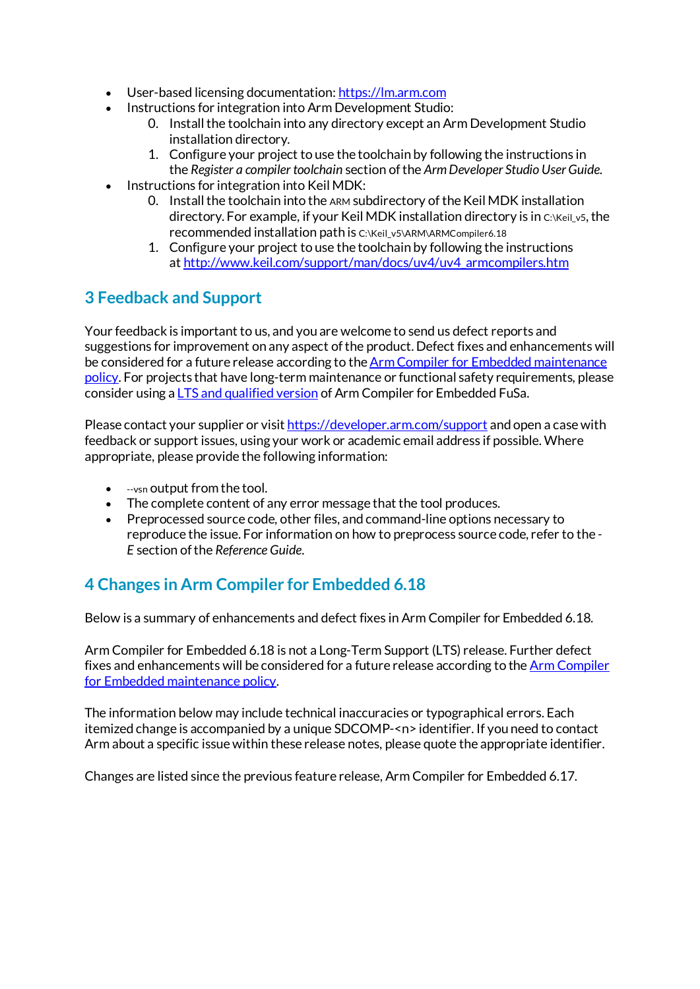- User-based licensing documentation: [https://lm.arm.com](https://lm.arm.com/)
- Instructions for integration into Arm Development Studio:
	- 0. Install the toolchain into any directory except an Arm Development Studio installation directory.
	- 1. Configure your project to use the toolchain by following the instructions in the *Register a compiler toolchain* section of the *Arm Developer Studio User Guide*.
- Instructions for integration into Keil MDK:
	- 0. Install the toolchain into the ARM subdirectory of the Keil MDK installation directory. For example, if your Keil MDK installation directory is in C:\Keil\_v5, the recommended installation path is C:\Keil\_v5\ARM\ARMCompiler6.18
	- 1. Configure your project to use the toolchain by following the instructions at [http://www.keil.com/support/man/docs/uv4/uv4\\_armcompilers.htm](http://www.keil.com/support/man/docs/uv4/uv4_armcompilers.htm)

# **3 Feedback and Support**

Your feedback is important to us, and you are welcome to send us defect reports and suggestions for improvement on any aspect of the product. Defect fixes and enhancements will be considered for a future release according to the **Arm Compiler for Embedded maintenance** [policy.](https://developer.arm.com/tools-and-software/embedded/arm-compiler/downloads/version-6) For projects that have long-term maintenance or functional safety requirements, please consider using a  $LTS$  and qualified version of Arm Compiler for Embedded FuSa.

Please contact your supplier or visit <https://developer.arm.com/support> and open a case with feedback or support issues, using your work or academic email address if possible. Where appropriate, please provide the following information:

- --vsn output from the tool.
- The complete content of any error message that the tool produces.
- Preprocessed source code, other files, and command-line options necessary to reproduce the issue. For information on how to preprocess source code, refer to the *- E* section of the *Reference Guide*.

# **4 Changes in Arm Compiler for Embedded 6.18**

Below is a summary of enhancements and defect fixes in Arm Compiler for Embedded 6.18.

Arm Compiler for Embedded 6.18 is not a Long-Term Support (LTS) release. Further defect fixes and enhancements will be considered for a future release according to the [Arm Compiler](https://developer.arm.com/tools-and-software/embedded/arm-compiler/downloads/version-6)  [for Embedded maintenance policy.](https://developer.arm.com/tools-and-software/embedded/arm-compiler/downloads/version-6)

The information below may include technical inaccuracies or typographical errors. Each itemized change is accompanied by a unique SDCOMP-<n> identifier. If you need to contact Arm about a specific issue within these release notes, please quote the appropriate identifier.

Changes are listed since the previous feature release, Arm Compiler for Embedded 6.17.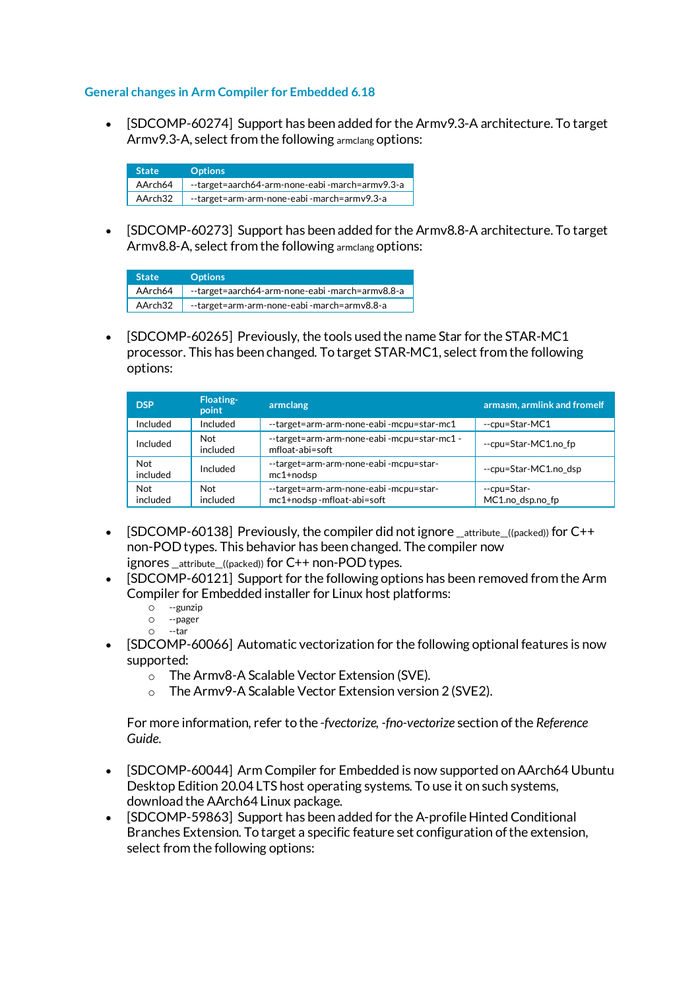## **General changes in Arm Compiler for Embedded 6.18**

• [SDCOMP-60274] Support has been added for the Armv9.3-A architecture. To target Armv9.3-A, select from the following armclang options:

| <b>State</b> | <b>Options</b>                                 |
|--------------|------------------------------------------------|
| AArch64      | --target=aarch64-arm-none-eabi-march=armv9.3-a |
| AArch32      | --target=arm-arm-none-eabi-march=armv9.3-a     |

• [SDCOMP-60273] Support has been added for the Armv8.8-A architecture. To target Armv8.8-A, select from the following armclang options:

| <b>State</b> | <b>Options</b>                                 |
|--------------|------------------------------------------------|
| AArch64      | --target=aarch64-arm-none-eabi-march=armv8.8-a |
| AArch32      | --target=arm-arm-none-eabi-march=armv8.8-a     |

• [SDCOMP-60265] Previously, the tools used the name Star for the STAR-MC1 processor. This has been changed. To target STAR-MC1, select from the following options:

| <b>DSP</b>             | <b>Floating-</b><br>point | armclang                                                           | armasm, armlink and fromelf     |
|------------------------|---------------------------|--------------------------------------------------------------------|---------------------------------|
| Included               | Included                  | --target=arm-arm-none-eabi-mcpu=star-mc1                           | --cpu=Star-MC1                  |
| Included               | Not<br>included           | --target=arm-arm-none-eabi-mcpu=star-mc1 -<br>mfloat-abi=soft      | --cpu=Star-MC1.no fp            |
| <b>Not</b><br>included | Included                  | --target=arm-arm-none-eabi-mcpu=star-<br>$mc1+nodsp$               | --cpu=Star-MC1.no dsp           |
| <b>Not</b><br>included | Not<br>included           | --target=arm-arm-none-eabi-mcpu=star-<br>mc1+nodsp-mfloat-abi=soft | --cpu=Star-<br>MC1.no dsp.no fp |

- [SDCOMP-60138] Previously, the compiler did not ignore \_attribute\_((packed)) for C++ non-POD types. This behavior has been changed. The compiler now ignores attribute ((packed)) for C++ non-POD types.
- [SDCOMP-60121] Support for the following options has been removed from the Arm Compiler for Embedded installer for Linux host platforms:
	- o --gunzip
	- --pager --tar
- [SDCOMP-60066] Automatic vectorization for the following optional features is now supported:
	- o The Armv8-A Scalable Vector Extension (SVE).
	- o The Armv9-A Scalable Vector Extension version 2 (SVE2).

For more information, refer to the *-fvectorize, -fno-vectorize* section of the *Reference Guide*.

- [SDCOMP-60044] Arm Compiler for Embedded is now supported on AArch64 Ubuntu Desktop Edition 20.04 LTS host operating systems. To use it on such systems, download the AArch64 Linux package.
- [SDCOMP-59863] Support has been added for the A-profile Hinted Conditional Branches Extension. To target a specific feature set configuration of the extension, select from the following options: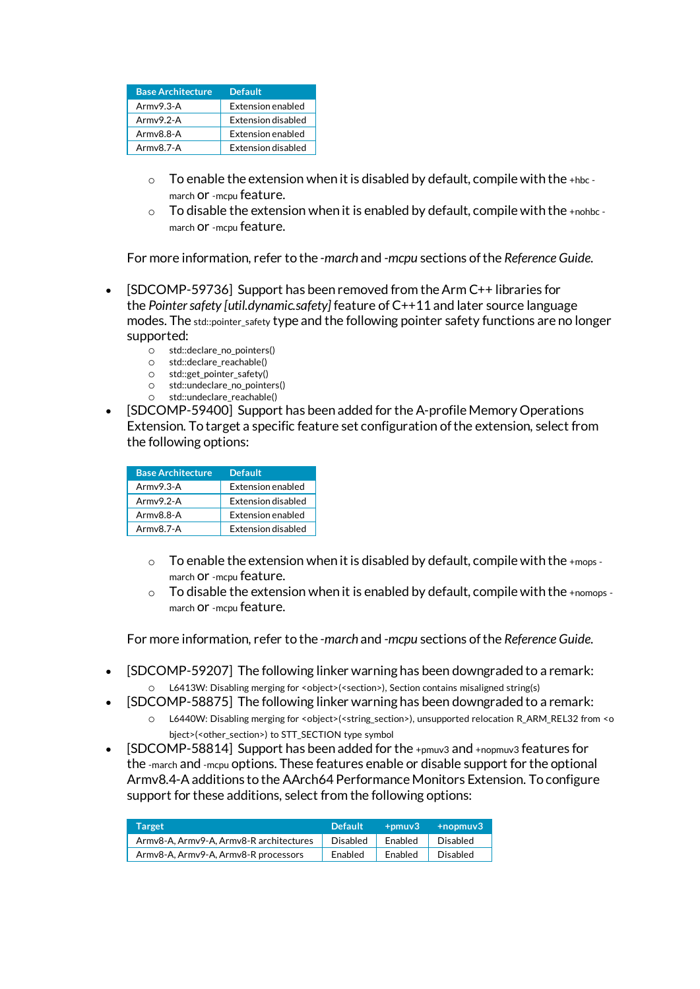| <b>Base Architecture</b> | <b>Default</b>            |
|--------------------------|---------------------------|
| $Armv9.3-A$              | <b>Extension enabled</b>  |
| $Armv9.2-A$              | <b>Extension disabled</b> |
| $Armv8.8-A$              | <b>Extension enabled</b>  |
| $Armv8.7-A$              | <b>Extension disabled</b> |

- $\circ$  To enable the extension when it is disabled by default, compile with the +hbc march or -mcpu feature.
- $\circ$  To disable the extension when it is enabled by default, compile with the +nohbc march or -mcpu feature.

For more information, refer to the *-march* and *-mcpu* sections of the *Reference Guide*.

- [SDCOMP-59736] Support has been removed from the Arm C++ libraries for the *Pointer safety [util.dynamic.safety]* feature of C++11 and later source language modes. The std::pointer\_safety type and the following pointer safety functions are no longer supported:
	- o std::declare\_no\_pointers()<br>o std::declare reachable()
	- $\circ$  std::declare\_reachable()<br> $\circ$  std::get pointer safety()
	- std::get\_pointer\_safety()
	- std::undeclare\_no\_pointers()
	- std::undeclare\_reachable()
- [SDCOMP-59400] Support has been added for the A-profile Memory Operations Extension. To target a specific feature set configuration of the extension, select from the following options:

| <b>Base Architecture</b> | <b>Default</b>            |
|--------------------------|---------------------------|
| $Armv9.3-A$              | Extension enabled         |
| $Armv9.2-A$              | Extension disabled        |
| $Armv8.8-A$              | Extension enabled         |
| $Armv8.7-A$              | <b>Extension disabled</b> |

- $\circ$  To enable the extension when it is disabled by default, compile with the +mops march or -mcpu feature.
- To disable the extension when it is enabled by default, compile with the  $+$ nomops march or -mcpu feature.

For more information, refer to the *-march* and *-mcpu* sections of the *Reference Guide*.

- [SDCOMP-59207] The following linker warning has been downgraded to a remark: o L6413W: Disabling merging for <object>(<section>), Section contains misaligned string(s)
- [SDCOMP-58875] The following linker warning has been downgraded to a remark:
	- o L6440W: Disabling merging for <object>(<string\_section>), unsupported relocation R\_ARM\_REL32 from <o bject>(<other\_section>) to STT\_SECTION type symbol
- $[SDCOMP-58814]$  Support has been added for the +pmuv3 and +nopmuv3 features for the -march and -mcpu options. These features enable or disable support for the optional Armv8.4-A additions to the AArch64 Performance Monitors Extension. To configure support for these additions, select from the following options:

| Target                                  | <b>Default</b> | $+$ pmu $v3$ | $+$ nopmuv $3$ |
|-----------------------------------------|----------------|--------------|----------------|
| Armv8-A, Armv9-A, Armv8-R architectures | Disabled       | Enabled      | Disabled       |
| Army8-A, Army9-A, Army8-R processors    | Enabled        | Enabled      | Disabled       |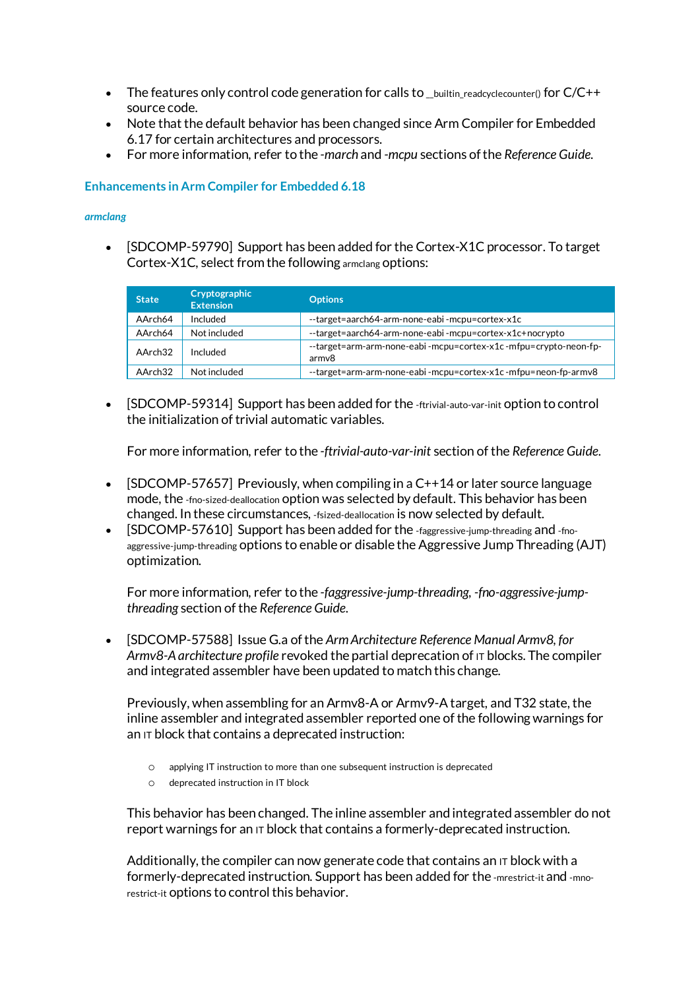- The features only control code generation for calls to \_\_builtin\_readcyclecounter() for C/C++ source code.
- Note that the default behavior has been changed since Arm Compiler for Embedded 6.17 for certain architectures and processors.
- For more information, refer to the *-march* and *-mcpu* sections of the *Reference Guide*.

## **Enhancements in Arm Compiler for Embedded 6.18**

#### *armclang*

• [SDCOMP-59790] Support has been added for the Cortex-X1C processor. To target Cortex-X1C, select from the following armclang options:

| <b>State</b> | Cryptographic<br><b>Extension</b> | <b>Options</b>                                                           |
|--------------|-----------------------------------|--------------------------------------------------------------------------|
| AArch64      | Included                          | --target=aarch64-arm-none-eabi-mcpu=cortex-x1c                           |
| AArch64      | Not included                      | --target=aarch64-arm-none-eabi-mcpu=cortex-x1c+nocrypto                  |
| AArch32      | Included                          | --target=arm-arm-none-eabi-mcpu=cortex-x1c-mfpu=crypto-neon-fp-<br>armv8 |
| AArch32      | Not included                      | --target=arm-arm-none-eabi-mcpu=cortex-x1c-mfpu=neon-fp-armv8            |

• [SDCOMP-59314] Support has been added for the -ftrivial-auto-var-init option to control the initialization of trivial automatic variables.

For more information, refer to the *-ftrivial-auto-var-init* section of the *Reference Guide*.

- [SDCOMP-57657] Previously, when compiling in a  $C++14$  or later source language mode, the -fno-sized-deallocation option was selected by default. This behavior has been changed. In these circumstances, -fsized-deallocation is now selected by default.
- [SDCOMP-57610] Support has been added for the -faggressive-jump-threading and -fnoaggressive-jump-threading options to enable or disable the Aggressive Jump Threading (AJT) optimization.

For more information, refer to the *-faggressive-jump-threading, -fno-aggressive-jumpthreading* section of the *Reference Guide*.

• [SDCOMP-57588] Issue G.a of the *Arm Architecture Reference Manual Armv8, for Armv8-A architecture profile* revoked the partial deprecation of IT blocks. The compiler and integrated assembler have been updated to match this change.

Previously, when assembling for an Armv8-A or Armv9-A target, and T32 state, the inline assembler and integrated assembler reported one of the following warnings for an IT block that contains a deprecated instruction:

- o applying IT instruction to more than one subsequent instruction is deprecated
- o deprecated instruction in IT block

This behavior has been changed. The inline assembler and integrated assembler do not report warnings for an  $\Pi$  block that contains a formerly-deprecated instruction.

Additionally, the compiler can now generate code that contains an  $I<sub>T</sub>$  block with a formerly-deprecated instruction. Support has been added for the -mrestrict-it and -mnorestrict-it options to control this behavior.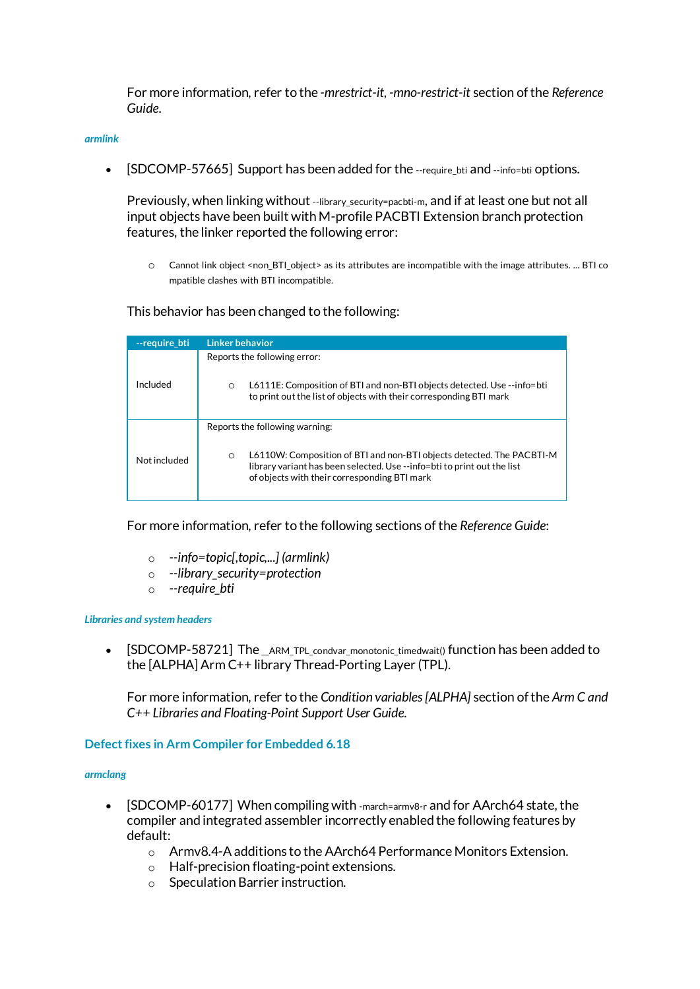For more information, refer to the *-mrestrict-it, -mno-restrict-it* section of the *Reference Guide*.

#### *armlink*

• [SDCOMP-57665] Support has been added for the --require\_bti and --info=bti options.

Previously, when linking without --library security=pacbti-m, and if at least one but not all input objects have been built with M-profile PACBTI Extension branch protection features, the linker reported the following error:

o Cannot link object <non\_BTI\_object> as its attributes are incompatible with the image attributes. ... BTI co mpatible clashes with BTI incompatible.

## This behavior has been changed to the following:

| --require bti | Linker behavior                                                                                                                                                                                                                               |
|---------------|-----------------------------------------------------------------------------------------------------------------------------------------------------------------------------------------------------------------------------------------------|
| Included      | Reports the following error:<br>L6111E: Composition of BTI and non-BTI objects detected. Use --info=bti<br>$\circ$<br>to print out the list of objects with their corresponding BTI mark                                                      |
| Not included  | Reports the following warning:<br>L6110W: Composition of BTI and non-BTI objects detected. The PACBTI-M<br>$\circ$<br>library variant has been selected. Use --info=bti to print out the list<br>of objects with their corresponding BTI mark |

For more information, refer to the following sections of the *Reference Guide*:

- o *--info=topic[,topic,...] (armlink)*
- o *--library\_security=protection*
- o *--require\_bti*

#### *Libraries and system headers*

• [SDCOMP-58721] The \_ARM\_TPL\_condvar\_monotonic\_timedwait() function has been added to the [ALPHA] Arm C++ library Thread-Porting Layer (TPL).

For more information, refer to the *Condition variables [ALPHA]* section of the *Arm C and C++ Libraries and Floating-Point Support User Guide*.

## **Defect fixes in Arm Compiler for Embedded 6.18**

#### *armclang*

- [SDCOMP-60177] When compiling with -march=armv8-r and for AArch64 state, the compiler and integrated assembler incorrectly enabled the following features by default:
	- o Armv8.4-A additions to the AArch64 Performance Monitors Extension.
	- o Half-precision floating-point extensions.
	- o Speculation Barrier instruction.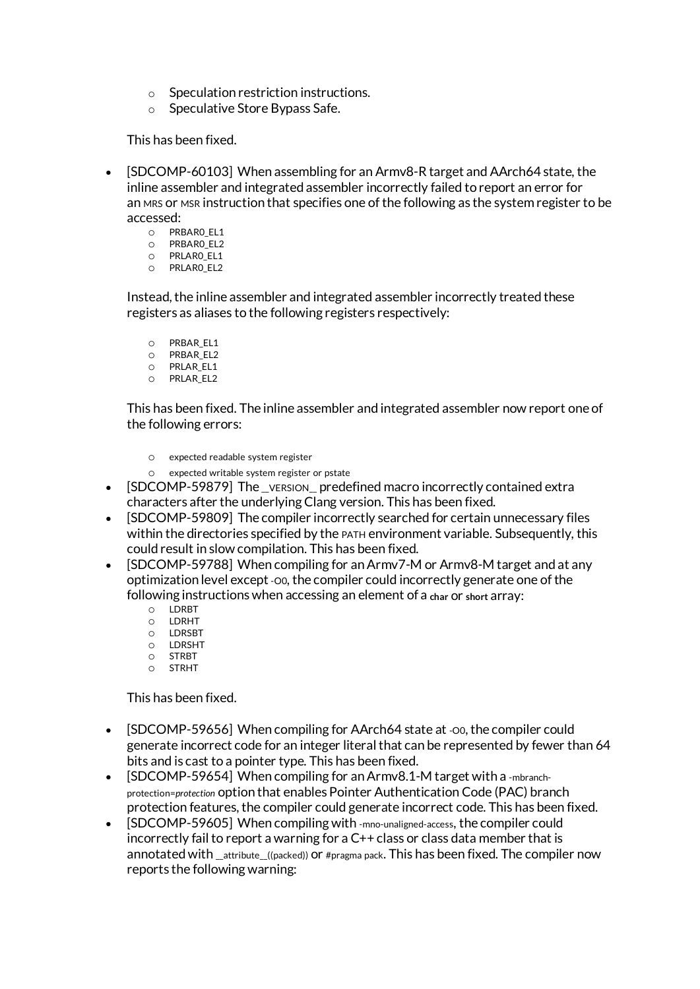- o Speculation restriction instructions.
- o Speculative Store Bypass Safe.

This has been fixed.

- [SDCOMP-60103] When assembling for an Armv8-R target and AArch64 state, the inline assembler and integrated assembler incorrectly failed to report an error for an MRS or MSR instruction that specifies one of the following as the system register to be accessed:
	- O PRBARO\_EL1<br>O PRBARO\_EL2
	- o PRBAR0\_EL2
	- o PRLAR0\_EL1 o PRLAR0\_EL2

Instead, the inline assembler and integrated assembler incorrectly treated these registers as aliases to the following registers respectively:

- o PRBAR\_EL1
- o PRBAR\_EL2
- o PRLAR\_EL1 o PRLAR\_EL2

This has been fixed. The inline assembler and integrated assembler now report one of the following errors:

- o expected readable system register
- expected writable system register or pstate
- [SDCOMP-59879] The version predefined macro incorrectly contained extra characters after the underlying Clang version. This has been fixed.
- [SDCOMP-59809] The compiler incorrectly searched for certain unnecessary files within the directories specified by the PATH environment variable. Subsequently, this could result in slow compilation. This has been fixed.
- [SDCOMP-59788] When compiling for an Armv7-M or Armv8-M target and at any optimization level except-O0, the compiler could incorrectly generate one of the following instructions when accessing an element of a **char** or **short** array:
	- O LDRBT<br>O LDRHT
	- o LDRHT<br>o LDRSB1
	- O LDRSBT<br>O LDRSHT
	- o LDRSHT o STRBT
	- o STRHT

# This has been fixed.

- [SDCOMP-59656] When compiling for AArch64 state at -00, the compiler could generate incorrect code for an integer literal that can be represented by fewer than 64 bits and is cast to a pointer type. This has been fixed.
- [SDCOMP-59654] When compiling for an Armv8.1-M target with a -mbranchprotection=*protection* option that enables Pointer Authentication Code (PAC) branch protection features, the compiler could generate incorrect code. This has been fixed.
- [SDCOMP-59605] When compiling with -mno-unaligned-access, the compiler could incorrectly fail to report a warning for a C++ class or class data member that is annotated with \_\_attribute\_\_((packed)) or #pragma pack. This has been fixed. The compiler now reports the following warning: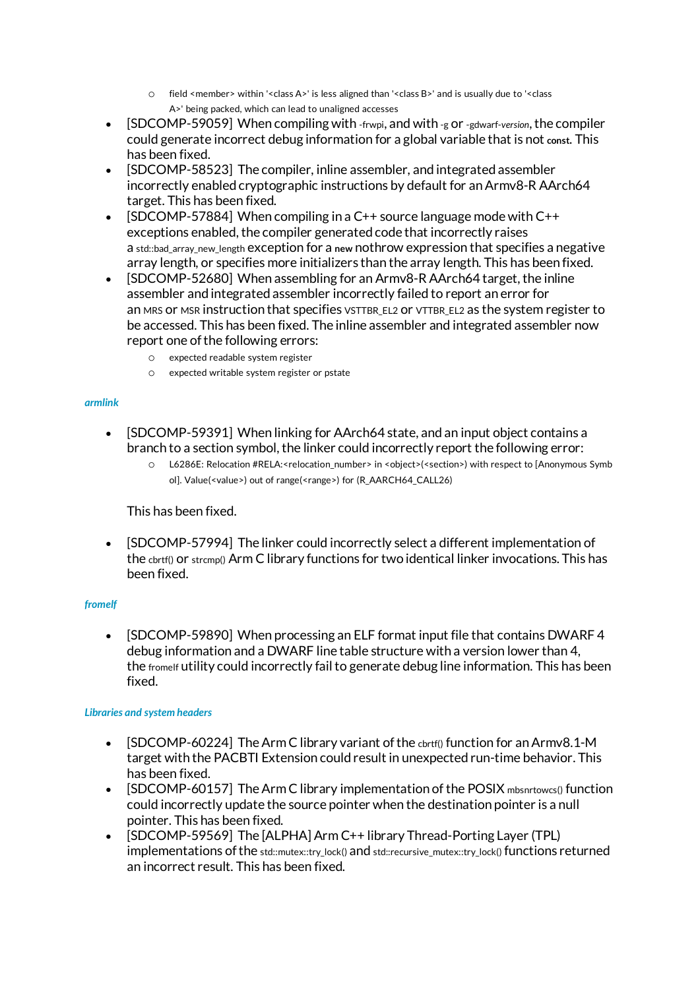- o field <member> within '<class A>' is less aligned than '<class B>' and is usually due to '<class A>' being packed, which can lead to unaligned accesses
- [SDCOMP-59059] When compiling with -frwpi, and with -g or -gdwarf-*version*, the compiler could generate incorrect debug information for a global variable that is not **const**. This has been fixed.
- [SDCOMP-58523] The compiler, inline assembler, and integrated assembler incorrectly enabled cryptographic instructions by default for an Armv8-R AArch64 target. This has been fixed.
- [SDCOMP-57884] When compiling in a C++ source language mode with  $C++$ exceptions enabled, the compiler generated code that incorrectly raises a std::bad\_array\_new\_length exception for a **new** nothrow expression that specifies a negative array length, or specifies more initializers than the array length. This has been fixed.
- [SDCOMP-52680] When assembling for an Armv8-R AArch64 target, the inline assembler and integrated assembler incorrectly failed to report an error for an MRS or MSR instruction that specifies VSTTBR\_EL2 or VTTBR\_EL2 as the system register to be accessed. This has been fixed. The inline assembler and integrated assembler now report one of the following errors:
	- o expected readable system register
	- o expected writable system register or pstate

## *armlink*

- [SDCOMP-59391] When linking for AArch64 state, and an input object contains a branch to a section symbol, the linker could incorrectly report the following error:
	- o L6286E: Relocation #RELA:<relocation\_number> in <object>(<section>) with respect to [Anonymous Symb ol]. Value(<value>) out of range(<range>) for (R\_AARCH64\_CALL26)

# This has been fixed.

• [SDCOMP-57994] The linker could incorrectly select a different implementation of the cbrtf() or strcmp() Arm C library functions for two identical linker invocations. This has been fixed.

## *fromelf*

• [SDCOMP-59890] When processing an ELF format input file that contains DWARF 4 debug information and a DWARF line table structure with a version lower than 4, the fromelf utility could incorrectly fail to generate debug line information. This has been fixed.

## *Libraries and system headers*

- [SDCOMP-60224] The Arm C library variant of the cbrtf() function for an Armv8.1-M target with the PACBTI Extension could result in unexpected run-time behavior. This has been fixed.
- [SDCOMP-60157] The Arm C library implementation of the POSIX mbsnrtowcs() function could incorrectly update the source pointer when the destination pointer is a null pointer. This has been fixed.
- [SDCOMP-59569] The [ALPHA] Arm C++ library Thread-Porting Layer (TPL) implementations of the std::mutex::try\_lock() and std::recursive\_mutex::try\_lock() functions returned an incorrect result. This has been fixed.